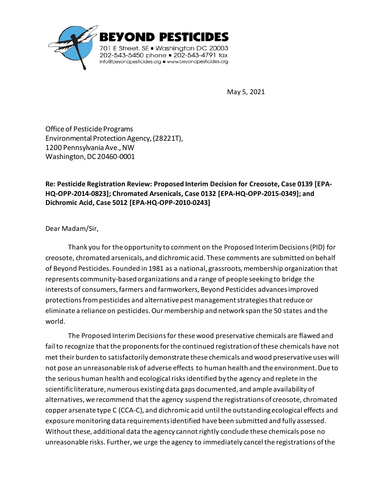

May 5, 2021

Office of Pesticide Programs Environmental Protection Agency, (28221T), 1200 Pennsylvania Ave., NW Washington, DC 20460-0001

**Re: Pesticide Registration Review: Proposed Interim Decision for Creosote, Case 0139 [EPA-HQ-OPP-2014-0823]; Chromated Arsenicals, Case 0132 [EPA-HQ-OPP-2015-0349]; and Dichromic Acid, Case 5012 [EPA-HQ-OPP-2010-0243]**

Dear Madam/Sir,

Thank you for the opportunity to comment on the Proposed Interim Decisions(PID) for creosote, chromated arsenicals, and dichromic acid. These comments are submitted on behalf of Beyond Pesticides. Founded in 1981 as a national, grassroots, membership organization that represents community-based organizations and a range of people seeking to bridge the interests of consumers, farmers and farmworkers, Beyond Pesticides advances improved protections from pesticides and alternative pest management strategies that reduce or eliminate a reliance on pesticides. Our membership and network span the 50 states and the world.

The Proposed Interim Decisions for these wood preservative chemicals are flawed and fail to recognize that the proponents for the continued registration of these chemicals have not met their burden to satisfactorily demonstrate these chemicals and wood preservative uses will not pose an unreasonable risk of adverse effects to human health and the environment. Due to the serious human health and ecological risks identified by the agency and replete in the scientific literature, numerous existing data gaps documented, and ample availability of alternatives, we recommend that the agency suspend the registrations of creosote, chromated copper arsenate type C (CCA-C), and dichromic acid until the outstanding ecological effects and exposure monitoring data requirements identified have been submitted and fully assessed. Without these, additional data the agency cannot rightly conclude these chemicals pose no unreasonable risks. Further, we urge the agency to immediately cancel the registrations of the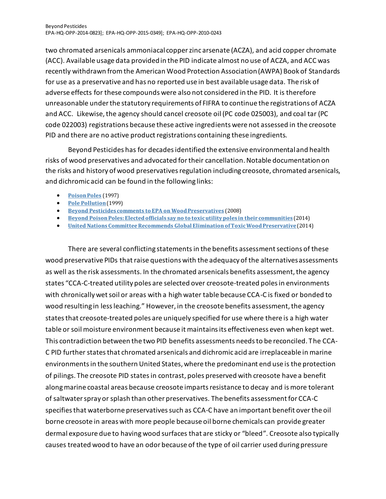two chromated arsenicals ammoniacal copper zinc arsenate (ACZA), and acid copper chromate (ACC). Available usage data provided in the PID indicate almost no use of ACZA, and ACC was recently withdrawn from the American Wood Protection Association (AWPA) Book of Standards for use as a preservative and has no reported use in best available usage data. The risk of adverse effects for these compounds were also not considered in the PID. It is therefore unreasonable under the statutory requirements of FIFRA to continue the registrations of ACZA and ACC. Likewise, the agency should cancel creosote oil (PC code 025003), and coal tar (PC code 022003) registrations because these active ingredients were not assessed in the creosote PID and there are no active product registrations containing these ingredients.

Beyond Pesticides has for decades identified the extensive environmental and health risks of wood preservatives and advocated fortheir cancellation. Notable documentation on the risks and history of wood preservatives regulation including creosote, chromated arsenicals, and dichromic acid can be found in the following links:

- **[PoisonPoles](http://www.beyondpesticides.org/programs/wood-preservatives/publications/poison-poles)** (1997)
- **Pole [Pollution](http://www.beyondpesticides.org/programs/wood-preservatives/publications/pole-pollution)**(1999)
- **Beyond Pesticides comments to EPA on [WoodPreservatives](https://www.beyondpesticides.org/assets/media/documents/documents/woodcomments.pdf)** (2008)
- **Beyond [PoisonPoles:Electedofficials](http://www.beyondpesticides.org/infoservices/pesticidesandyou/documents/UtilityPolesFall2014.pdf) say no to toxicutilitypoles in their communities** (2014)
- **United Nations CommitteeRecommends Global [EliminationofToxicWoodPreservative](https://beyondpesticides.org/dailynewsblog/2014/11/united-nations-committee-recommends-global-elimination-of-toxic-wood-preservative/)** (2014)

There are several conflicting statementsin the benefits assessment sections of these wood preservative PIDs that raise questions with the adequacy of the alternatives assessments as well as the risk assessments. In the chromated arsenicals benefits assessment, the agency states "CCA-C-treated utility poles are selected over creosote-treated poles in environments with chronically wet soil or areas with a high water table because CCA-C is fixed or bonded to wood resulting in less leaching." However, in the creosote benefits assessment, the agency states that creosote-treated poles are uniquely specified for use where there is a high water table or soil moisture environment because it maintains its effectiveness even when kept wet. This contradiction between the two PID benefits assessments needs to be reconciled. The CCA-C PID further states that chromated arsenicals and dichromic acid are irreplaceable in marine environments in the southern United States, where the predominant end use is the protection of pilings. The creosote PID statesin contrast, poles preserved with creosote have a benefit along marine coastal areas because creosote imparts resistance to decay and is more tolerant of saltwater spray or splash than other preservatives. The benefits assessment for CCA-C specifies that waterborne preservatives such as CCA-C have an important benefit over the oil borne creosote in areas with more people because oil borne chemicals can provide greater dermal exposure due to having wood surfaces that are sticky or "bleed". Creosote also typically causes treated wood to have an odor because of the type of oil carrier used during pressure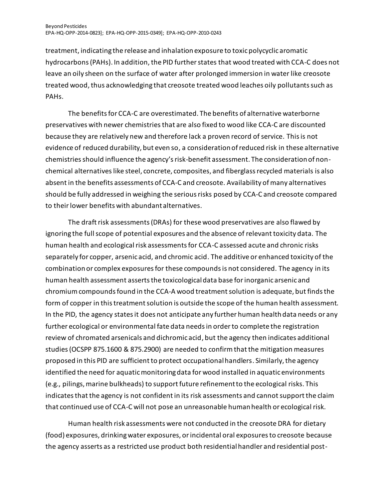treatment, indicating the release and inhalation exposure to toxic polycyclic aromatic hydrocarbons (PAHs). In addition, the PID further states that wood treated with CCA-C does not leave an oily sheen on the surface of water after prolonged immersion in water like creosote treated wood, thus acknowledging that creosote treated wood leaches oily pollutants such as PAHs.

The benefits for CCA-C are overestimated. The benefits of alternative waterborne preservatives with newer chemistriesthat are also fixed to wood like CCA-C are discounted because they are relatively new and therefore lack a proven record of service. This is not evidence of reduced durability, but even so, a consideration of reduced risk in these alternative chemistries should influence the agency's risk-benefit assessment. The consideration of nonchemical alternatives like steel, concrete, composites, and fiberglass recycled materials is also absent in the benefits assessments of CCA-C and creosote. Availability of many alternatives should be fully addressed in weighing the serious risks posed by CCA-C and creosote compared to their lower benefits with abundant alternatives.

The draft risk assessments (DRAs) for these wood preservatives are also flawed by ignoring the full scope of potential exposures and the absence of relevant toxicity data. The human health and ecological risk assessments for CCA-C assessed acute and chronic risks separately for copper, arsenic acid, and chromic acid. The additive or enhanced toxicity of the combination or complex exposures for these compounds is not considered. The agency in its human health assessment asserts the toxicological data base for inorganic arsenic and chromium compounds found in the CCA-A wood treatment solution is adequate, but finds the form of copper in this treatment solution is outside the scope of the human health assessment. In the PID, the agency states it does not anticipate any further human health data needs or any further ecological or environmental fate data needs in order to complete the registration review of chromated arsenicals and dichromic acid, but the agency then indicates additional studies (OCSPP 875.1600 & 875.2900) are needed to confirm that the mitigation measures proposed in this PID are sufficient to protect occupational handlers. Similarly, the agency identified the need for aquatic monitoring data for wood installed in aquatic environments (e.g., pilings, marine bulkheads) to support future refinement to the ecological risks. This indicates that the agency is not confident in its risk assessments and cannot support the claim that continued use of CCA-C will not pose an unreasonable human health or ecological risk.

Human health risk assessments were not conducted in the creosote DRA for dietary (food) exposures, drinking water exposures, or incidental oral exposures to creosote because the agency asserts as a restricted use product both residential handler and residential post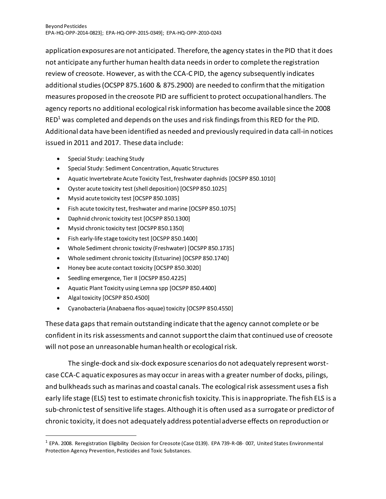application exposures are not anticipated. Therefore, the agency states in the PID that it does not anticipate any further human health data needs in order to complete the registration review of creosote. However, as with the CCA-C PID, the agency subsequently indicates additional studies (OCSPP 875.1600 & 875.2900) are needed to confirm that the mitigation measures proposed in the creosote PID are sufficient to protect occupational handlers. The agency reports no additional ecological risk information has become available since the 2008  $RED<sup>1</sup>$  was completed and depends on the uses and risk findings from this RED for the PID. Additional data have been identified as needed and previously required in data call-in notices issued in 2011 and 2017. These data include:

- Special Study: Leaching Study
- Special Study: Sediment Concentration, Aquatic Structures
- Aquatic Invertebrate Acute Toxicity Test, freshwater daphnids [OCSPP 850.1010]
- Oyster acute toxicity test (shell deposition) [OCSPP 850.1025]
- Mysid acute toxicity test [OCSPP 850.1035]
- Fish acute toxicity test, freshwater and marine [OCSPP 850.1075]
- Daphnid chronic toxicity test [OCSPP 850.1300]
- Mysid chronic toxicity test [OCSPP 850.1350]
- Fish early-life stage toxicity test [OCSPP 850.1400]
- Whole Sediment chronic toxicity (Freshwater) [OCSPP 850.1735]
- Whole sediment chronic toxicity (Estuarine) [OCSPP 850.1740]
- Honey bee acute contact toxicity [OCSPP 850.3020]
- Seedling emergence, Tier II [OCSPP 850.4225]
- Aquatic Plant Toxicity using Lemna spp [OCSPP 850.4400]
- Algal toxicity [OCSPP 850.4500]
- Cyanobacteria (Anabaena flos-aquae) toxicity [OCSPP 850.4550]

These data gaps that remain outstanding indicate that the agency cannot complete or be confident in its risk assessments and cannot support the claimthat continued use of creosote will not pose an unreasonable human health or ecological risk.

The single-dock and six-dock exposure scenarios do not adequately represent worstcase CCA-C aquatic exposures as may occur in areas with a greater number of docks, pilings, and bulkheads such as marinas and coastal canals. The ecological risk assessment uses a fish early life stage (ELS) test to estimate chronic fish toxicity. This is inappropriate. The fish ELS is a sub-chronic test of sensitive life stages. Although it is often used as a surrogate or predictor of chronic toxicity, it does not adequately address potential adverse effects on reproduction or

<sup>&</sup>lt;sup>1</sup> EPA. 2008. Reregistration Eligibility Decision for Creosote (Case 0139). EPA 739-R-08-007, United States Environmental Protection Agency Prevention, Pesticides and Toxic Substances.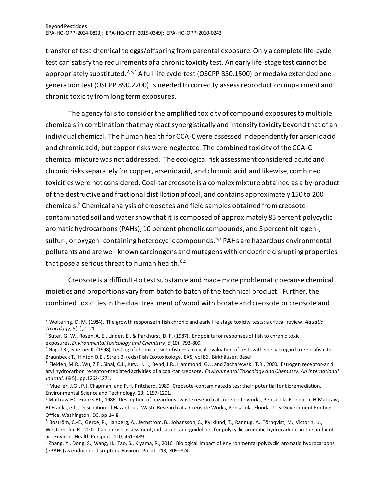transfer of test chemical to eggs/offspring from parental exposure. Only a complete life-cycle test can satisfy the requirements of a chronic toxicity test. An early life-stage test cannot be appropriately substituted.<sup>2,3,4</sup> A full life cycle test (OSCPP 850.1500) or medaka extended onegeneration test (OSCPP 890.2200) is needed to correctly assessreproduction impairment and chronic toxicity from long term exposures.

The agency fails to consider the amplified toxicity of compound exposuresto multiple chemicals in combination that may react synergistically and intensify toxicity beyond that of an individual chemical. The human health for CCA-C were assessed independently for arsenic acid and chromic acid, but copper risks were neglected. The combined toxicity of the CCA-C chemical mixture was not addressed. The ecological risk assessment considered acute and chronic risks separately for copper, arsenic acid, and chromic acid and likewise, combined toxicities were not considered. Coal‐tar creosote is a complex mixture obtained as a by‐product of the destructive and fractional distillation of coal, and contains approximately 150 to 200 chemicals.<sup>5</sup> Chemical analysis of creosotes and field samples obtained from creosotecontaminated soil and water show that it is composed of approximately 85 percent polycyclic aromatic hydrocarbons(PAHs), 10 percent phenolic compounds, and 5 percent nitrogen-, sulfur-, or oxygen- containing heterocyclic compounds. 6,7 PAHs are hazardous environmental pollutants and are well known carcinogens and mutagens with endocrine disrupting properties that pose a serious threat to human health.  $8,9$ 

Creosote is a difficult-to test substance and made more problematic because chemical moieties and proportions vary from batch to batch of the technical product. Further, the combined toxicities in the dual treatment of wood with borate and creosote or creosote and

<sup>2</sup> Woltering, D. M. (1984). The growth response in fish chronic and early life stage toxicity tests: a critical review. *Aquatic Toxicology*, *5*(1), 1-21.

<sup>3</sup> Suter, G. W., Rosen, A. E., Linder, E., & Parkhurst, D. F. (1987). Endpoints for responses of fish to chronic toxic exposures. *Environmental Toxicology and Chemistry*, *6*(10), 793-809.

<sup>4</sup> Nagel R., Isberner K. (1998) Testing of chemicals with fish — a critical evaluation of tests with special regard to zebrafish. In: Braunbeck T., Hinton D.E., Streit B. (eds) Fish Ecotoxicology. EXS, vol 86. Birkhäuser, Basel.

<sup>&</sup>lt;sup>5</sup> Fielden, M.R., Wu, Z.F., Sinal, C.J., Jury, H.H., Bend, J.R., Hammond, G.L. and Zacharewski, T.R., 2000. Estrogen receptor-an d aryl hydrocarbon receptor‐mediated activities of a coal‐tar creosote. *Environmental Toxicology and Chemistry: An International Journal*, *19*(5), pp.1262-1271.

 $6$  Mueller, J.G., P.J. Chapman, and P.H. Pritchard. 1989. Creosote-contaminated sites: their potential for bioremediation. Environmental Science and Technology. 23: 1197-1201.

<sup>7</sup> Mattraw HC, Franks BJ., 1986. Description of hazardous‐waste research at a creosote works, Pensacola, Florida. In H Mattraw, BJ Franks, eds, Description of Hazardous‐Waste Research at a Creosote Works, Pensacola, Florida. U.S. Government Printing Office, Washington, DC, pp 1– 8.

<sup>8</sup> Boström, C.-E., Gerde, P., Hanberg, A., Jernström, B., Johansson, C., Kyrklund, T., Rannug, A., Törnqvist, M., Victorin, K., Westerholm, R., 2002. Cancer risk assessment, indicators, and guidelines for polycyclic aromatic hydrocarbons in the ambient air. Environ. Health Perspect. 110, 451–489.

<sup>9</sup> Zhang, Y., Dong, S., Wang, H., Tao, S., Kiyama, R., 2016. Biological impact of environmental polycyclic aromatic hydrocarbons (ePAHs) as endocrine disruptors. Environ. Pollut. 213, 809–824.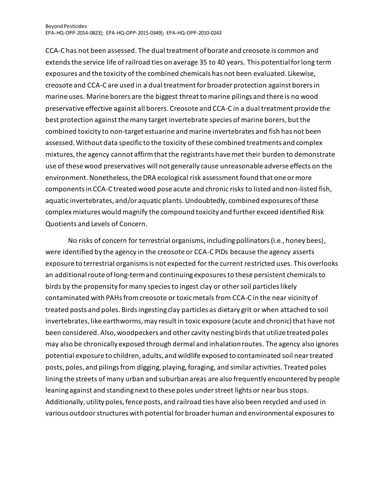CCA-C has not been assessed. The dual treatment of borate and creosote is common and extends the service life of railroad ties on average 35 to 40 years. This potential for long term exposures and the toxicity of the combined chemicals has not been evaluated. Likewise, creosote and CCA-C are used in a dual treatment for broader protection against borers in marine uses. Marine borers are the biggest threat to marine pilings and there is no wood preservative effective against all borers. Creosote and CCA-C in a dual treatment provide the best protection against the many target invertebrate species of marine borers, but the combined toxicity to non-target estuarine and marine invertebrates and fish has not been assessed. Without data specific to the toxicity of these combined treatments and complex mixtures, the agency cannot affirm that the registrants have met their burden to demonstrate use of these wood preservatives will not generally cause unreasonable adverse effects on the environment.Nonetheless, the DRA ecological risk assessment found that one or more components in CCA-C treated wood pose acute and chronic risks to listed and non-listed fish, aquatic invertebrates, and/or aquatic plants. Undoubtedly, combined exposures of these complex mixtures would magnify the compound toxicity and further exceed identified Risk Quotients and Levels of Concern.

No risks of concern for terrestrial organisms, including pollinators (i.e., honey bees), were identified by the agency in the creosote or CCA-C PIDs because the agency asserts exposure to terrestrial organisms is not expected for the current restricted uses. This overlooks an additional route of long-term and continuing exposuresto these persistent chemicals to birds by the propensity for many species to ingest clay or other soil particles likely contaminated with PAHsfrom creosote or toxic metals from CCA-C in the near vicinity of treated posts and poles. Birds ingesting clay particles as dietary grit or when attached to soil invertebrates, like earthworms, may result in toxic exposure (acute and chronic) that have not been considered. Also, woodpeckers and other cavity nesting birds that utilize treated poles may also be chronically exposed through dermal and inhalation routes. The agency also ignores potential exposure to children, adults, and wildlife exposed to contaminated soil near treated posts, poles, and pilings from digging, playing, foraging, and similar activities. Treated poles lining the streets of many urban and suburban areas are also frequently encountered by people leaning against and standing next to these poles under street lights or near bus stops. Additionally, utility poles, fence posts, and railroad ties have also been recycled and used in various outdoor structures with potential for broader human and environmental exposures to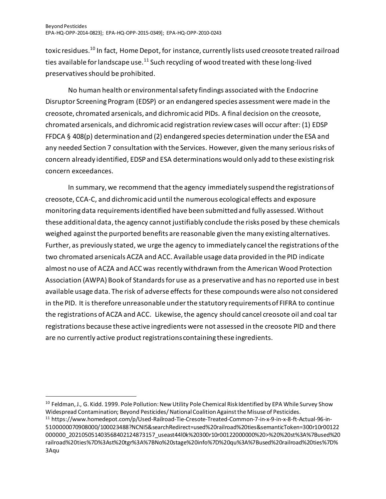toxic residues.<sup>10</sup> In fact, Home Depot, for instance, currently lists used creosote treated railroad ties available for landscape use. $11$  Such recycling of wood treated with these long-lived preservatives should be prohibited.

No human health or environmental safety findings associated with the Endocrine Disruptor Screening Program (EDSP) or an endangered species assessment were made in the creosote, chromated arsenicals, and dichromic acid PIDs. A final decision on the creosote, chromated arsenicals, and dichromic acid registration review cases will occur after: (1) EDSP FFDCA § 408(p) determination and (2) endangered species determination under the ESA and any needed Section 7 consultation with the Services. However, given the many serious risks of concern already identified, EDSP and ESA determinations would only add to these existing risk concern exceedances.

In summary, we recommend that the agency immediately suspend the registrations of creosote, CCA-C, and dichromic acid until the numerous ecological effects and exposure monitoring data requirements identified have been submitted and fully assessed. Without these additional data, the agency cannot justifiably conclude the risks posed by these chemicals weighed against the purported benefits are reasonable given the many existing alternatives. Further, as previously stated, we urge the agency to immediately cancel the registrations of the two chromated arsenicals ACZA and ACC. Available usage data provided in the PID indicate almost no use of ACZA and ACC was recently withdrawn from the American Wood Protection Association (AWPA) Book of Standards for use as a preservative and has no reported use in best available usage data. The risk of adverse effects for these compounds were also not considered in the PID. It is therefore unreasonable under the statutory requirements of FIFRA to continue the registrations of ACZA and ACC. Likewise, the agency should cancel creosote oil and coal tar registrations because these active ingredients were not assessed in the creosote PID and there are no currently active product registrations containing these ingredients.

<sup>&</sup>lt;sup>10</sup> Feldman, J., G. Kidd. 1999. Pole Pollution: New Utility Pole Chemical Risk Identified by EPA While Survey Show Widespread Contamination; Beyond Pesticides/ National Coalition Against the Misuse of Pesticides.

<sup>11</sup> https://www.homedepot.com/p/Used-Railroad-Tie-Cresote-Treated-Common-7-in-x-9-in-x-8-ft-Actual-96-in-5100000070908000/100023488?NCNI5&searchRedirect=used%20railroad%20ties&semanticToken=300r10r00122 000000\_202105051403568402124873157\_useast44l0k%20300r10r00122000000%20>%20%20st%3A%7Bused%20 railroad%20ties%7D%3Ast%20tgr%3A%7BNo%20stage%20info%7D%20qu%3A%7Bused%20railroad%20ties%7D% 3Aqu